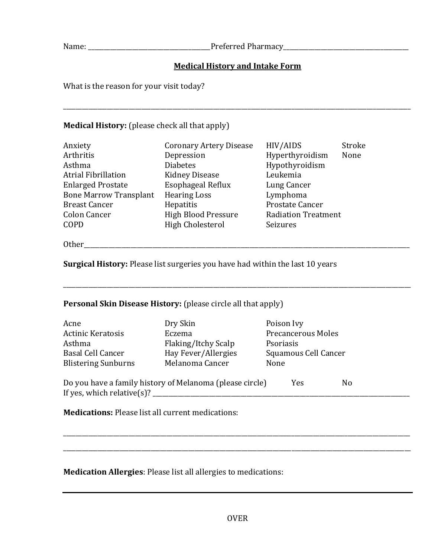Name: \_\_\_\_\_\_\_\_\_\_\_\_\_\_\_\_\_\_\_\_\_\_\_\_\_\_\_\_\_\_\_\_\_\_\_\_\_\_\_Preferred Pharmacy\_\_\_\_\_\_\_\_\_\_\_\_\_\_\_\_\_\_\_\_\_\_\_\_\_\_\_\_\_\_\_\_\_\_\_\_\_\_\_\_

## **Medical History and Intake Form**

\_\_\_\_\_\_\_\_\_\_\_\_\_\_\_\_\_\_\_\_\_\_\_\_\_\_\_\_\_\_\_\_\_\_\_\_\_\_\_\_\_\_\_\_\_\_\_\_\_\_\_\_\_\_\_\_\_\_\_\_\_\_\_\_\_\_\_\_\_\_\_\_\_\_\_\_\_\_\_\_\_\_\_\_\_\_\_\_\_\_\_\_\_\_\_\_\_\_\_\_\_\_\_\_\_\_\_\_\_\_\_

What is the reason for your visit today?

## **Medical History:** (please check all that apply)

| Anxiety<br>Arthritis<br>Asthma<br><b>Atrial Fibrillation</b><br><b>Enlarged Prostate</b><br><b>Bone Marrow Transplant</b><br><b>Breast Cancer</b><br><b>Colon Cancer</b> | <b>Coronary Artery Disease</b><br>Depression<br><b>Diabetes</b><br><b>Kidney Disease</b><br><b>Esophageal Reflux</b><br><b>Hearing Loss</b><br>Hepatitis<br><b>High Blood Pressure</b> | HIV/AIDS<br>Hyperthyroidism<br>Hypothyroidism<br>Leukemia<br>Lung Cancer<br>Lymphoma<br>Prostate Cancer<br><b>Radiation Treatment</b> | Stroke<br>None |
|--------------------------------------------------------------------------------------------------------------------------------------------------------------------------|----------------------------------------------------------------------------------------------------------------------------------------------------------------------------------------|---------------------------------------------------------------------------------------------------------------------------------------|----------------|
| COPD                                                                                                                                                                     | <b>High Cholesterol</b>                                                                                                                                                                | Seizures                                                                                                                              |                |

Other\_\_\_\_\_\_\_\_\_\_\_\_\_\_\_\_\_\_\_\_\_\_\_\_\_\_\_\_\_\_\_\_\_\_\_\_\_\_\_\_\_\_\_\_\_\_\_\_\_\_\_\_\_\_\_\_\_\_\_\_\_\_\_\_\_\_\_\_\_\_\_\_\_\_\_\_\_\_\_\_\_\_\_\_\_\_\_\_\_\_\_\_\_\_\_\_\_\_\_\_\_\_\_\_

**Surgical History:** Please list surgeries you have had within the last 10 years

## **Personal Skin Disease History:** (please circle all that apply)

| Acne                                                                   | Dry Skin            | Poison Ivy           |  |
|------------------------------------------------------------------------|---------------------|----------------------|--|
| <b>Actinic Keratosis</b>                                               | Eczema              | Precancerous Moles   |  |
| Asthma                                                                 | Flaking/Itchy Scalp | Psoriasis            |  |
| <b>Basal Cell Cancer</b>                                               | Hay Fever/Allergies | Squamous Cell Cancer |  |
| <b>Blistering Sunburns</b>                                             | Melanoma Cancer     | None                 |  |
| Do you have a family history of Melanoma (please circle)<br>Yes<br>No. |                     |                      |  |
| If yes, which relative(s)?                                             |                     |                      |  |

\_\_\_\_\_\_\_\_\_\_\_\_\_\_\_\_\_\_\_\_\_\_\_\_\_\_\_\_\_\_\_\_\_\_\_\_\_\_\_\_\_\_\_\_\_\_\_\_\_\_\_\_\_\_\_\_\_\_\_\_\_\_\_\_\_\_\_\_\_\_\_\_\_\_\_\_\_\_\_\_\_\_\_\_\_\_\_\_\_\_\_\_\_\_\_\_\_\_\_\_\_\_\_\_\_\_\_\_\_\_\_

**Medications:** Please list all current medications:

**Medication Allergies**: Please list all allergies to medications:

\_\_\_\_\_\_\_\_\_\_\_\_\_\_\_\_\_\_\_\_\_\_\_\_\_\_\_\_\_\_\_\_\_\_\_\_\_\_\_\_\_\_\_\_\_\_\_\_\_\_\_\_\_\_\_\_\_\_\_\_\_\_\_\_\_\_\_\_\_\_\_\_\_\_\_\_\_\_\_\_\_\_\_\_\_\_\_\_\_\_\_\_\_\_\_\_\_\_\_\_\_\_\_\_\_\_\_\_\_\_\_

\_\_\_\_\_\_\_\_\_\_\_\_\_\_\_\_\_\_\_\_\_\_\_\_\_\_\_\_\_\_\_\_\_\_\_\_\_\_\_\_\_\_\_\_\_\_\_\_\_\_\_\_\_\_\_\_\_\_\_\_\_\_\_\_\_\_\_\_\_\_\_\_\_\_\_\_\_\_\_\_\_\_\_\_\_\_\_\_\_\_\_\_\_\_\_\_\_\_\_\_\_\_\_\_\_\_\_\_\_\_\_